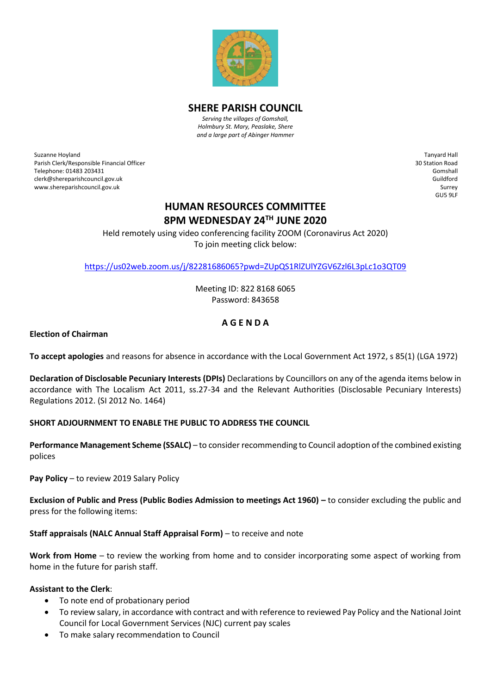

**SHERE PARISH COUNCIL**

*Serving the villages of Gomshall, Holmbury St. Mary, Peaslake, Shere and a large part of Abinger Hammer*

Suzanne Hoyland Parish Clerk/Responsible Financial Officer Telephone: 01483 203431 clerk@shereparishcouncil.gov.uk www.shereparishcouncil.gov.uk

Tanyard Hall 30 Station Road Gomshall Guildford Surrey GU5 9LF

# **HUMAN RESOURCES COMMITTEE 8PM WEDNESDAY 24TH JUNE 2020**

Held remotely using video conferencing facility ZOOM (Coronavirus Act 2020) To join meeting click below:

<https://us02web.zoom.us/j/82281686065?pwd=ZUpQS1RlZUlYZGV6Zzl6L3pLc1o3QT09>

Meeting ID: 822 8168 6065 Password: 843658

## **A G E N D A**

**Election of Chairman**

**To accept apologies** and reasons for absence in accordance with the Local Government Act 1972, s 85(1) (LGA 1972)

**Declaration of Disclosable Pecuniary Interests (DPIs)** Declarations by Councillors on any of the agenda items below in accordance with The Localism Act 2011, ss.27-34 and the Relevant Authorities (Disclosable Pecuniary Interests) Regulations 2012. (SI 2012 No. 1464)

## **SHORT ADJOURNMENT TO ENABLE THE PUBLIC TO ADDRESS THE COUNCIL**

**Performance Management Scheme (SSALC)** – to consider recommending to Council adoption of the combined existing polices

**Pay Policy** – to review 2019 Salary Policy

**Exclusion of Public and Press (Public Bodies Admission to meetings Act 1960) –** to consider excluding the public and press for the following items:

## **Staff appraisals (NALC Annual Staff Appraisal Form)** – to receive and note

**Work from Home** – to review the working from home and to consider incorporating some aspect of working from home in the future for parish staff.

#### **Assistant to the Clerk**:

- To note end of probationary period
- To review salary, in accordance with contract and with reference to reviewed Pay Policy and the National Joint Council for Local Government Services (NJC) current pay scales
- To make salary recommendation to Council